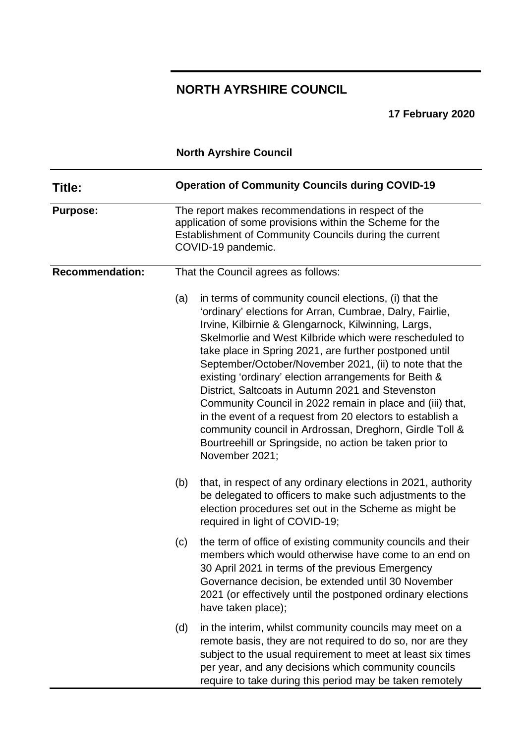# **NORTH AYRSHIRE COUNCIL**

**17 February 2020**

|                        | <b>North Ayrshire Council</b><br><b>Operation of Community Councils during COVID-19</b><br>The report makes recommendations in respect of the<br>application of some provisions within the Scheme for the<br>Establishment of Community Councils during the current<br>COVID-19 pandemic.<br>That the Council agrees as follows: |                                                                                                                                                                                                                                                                                                                                                                                                                                                                                                                                                                                                                                                                                                                                        |
|------------------------|----------------------------------------------------------------------------------------------------------------------------------------------------------------------------------------------------------------------------------------------------------------------------------------------------------------------------------|----------------------------------------------------------------------------------------------------------------------------------------------------------------------------------------------------------------------------------------------------------------------------------------------------------------------------------------------------------------------------------------------------------------------------------------------------------------------------------------------------------------------------------------------------------------------------------------------------------------------------------------------------------------------------------------------------------------------------------------|
| Title:                 |                                                                                                                                                                                                                                                                                                                                  |                                                                                                                                                                                                                                                                                                                                                                                                                                                                                                                                                                                                                                                                                                                                        |
| <b>Purpose:</b>        |                                                                                                                                                                                                                                                                                                                                  |                                                                                                                                                                                                                                                                                                                                                                                                                                                                                                                                                                                                                                                                                                                                        |
| <b>Recommendation:</b> |                                                                                                                                                                                                                                                                                                                                  |                                                                                                                                                                                                                                                                                                                                                                                                                                                                                                                                                                                                                                                                                                                                        |
|                        | (a)                                                                                                                                                                                                                                                                                                                              | in terms of community council elections, (i) that the<br>'ordinary' elections for Arran, Cumbrae, Dalry, Fairlie,<br>Irvine, Kilbirnie & Glengarnock, Kilwinning, Largs,<br>Skelmorlie and West Kilbride which were rescheduled to<br>take place in Spring 2021, are further postponed until<br>September/October/November 2021, (ii) to note that the<br>existing 'ordinary' election arrangements for Beith &<br>District, Saltcoats in Autumn 2021 and Stevenston<br>Community Council in 2022 remain in place and (iii) that,<br>in the event of a request from 20 electors to establish a<br>community council in Ardrossan, Dreghorn, Girdle Toll &<br>Bourtreehill or Springside, no action be taken prior to<br>November 2021; |
|                        | (b)                                                                                                                                                                                                                                                                                                                              | that, in respect of any ordinary elections in 2021, authority<br>be delegated to officers to make such adjustments to the<br>election procedures set out in the Scheme as might be<br>required in light of COVID-19;                                                                                                                                                                                                                                                                                                                                                                                                                                                                                                                   |
|                        |                                                                                                                                                                                                                                                                                                                                  | (c) the term of office of existing community councils and their<br>members which would otherwise have come to an end on<br>30 April 2021 in terms of the previous Emergency<br>Governance decision, be extended until 30 November<br>2021 (or effectively until the postponed ordinary elections<br>have taken place);                                                                                                                                                                                                                                                                                                                                                                                                                 |
|                        | (d)                                                                                                                                                                                                                                                                                                                              | in the interim, whilst community councils may meet on a<br>remote basis, they are not required to do so, nor are they<br>subject to the usual requirement to meet at least six times<br>per year, and any decisions which community councils<br>require to take during this period may be taken remotely                                                                                                                                                                                                                                                                                                                                                                                                                               |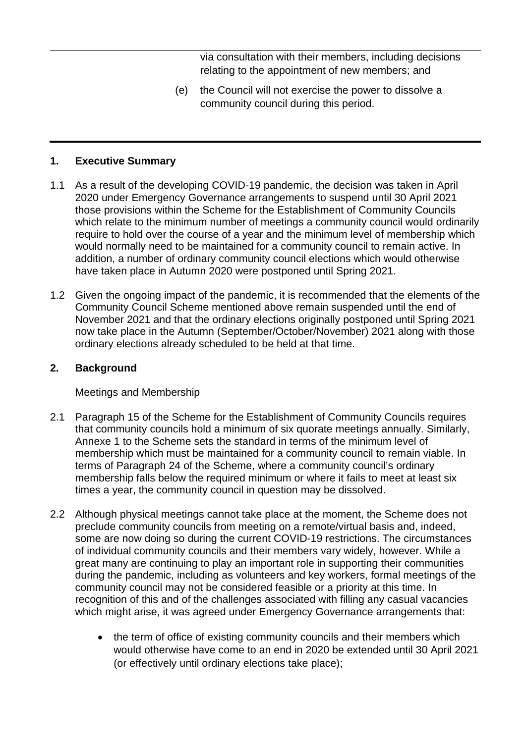via consultation with their members, including decisions relating to the appointment of new members; and

(e) the Council will not exercise the power to dissolve a community council during this period.

## **1. Executive Summary**

- 1.1 As a result of the developing COVID-19 pandemic, the decision was taken in April 2020 under Emergency Governance arrangements to suspend until 30 April 2021 those provisions within the Scheme for the Establishment of Community Councils which relate to the minimum number of meetings a community council would ordinarily require to hold over the course of a year and the minimum level of membership which would normally need to be maintained for a community council to remain active. In addition, a number of ordinary community council elections which would otherwise have taken place in Autumn 2020 were postponed until Spring 2021.
- 1.2 Given the ongoing impact of the pandemic, it is recommended that the elements of the Community Council Scheme mentioned above remain suspended until the end of November 2021 and that the ordinary elections originally postponed until Spring 2021 now take place in the Autumn (September/October/November) 2021 along with those ordinary elections already scheduled to be held at that time.

#### **2. Background**

Meetings and Membership

- 2.1 Paragraph 15 of the Scheme for the Establishment of Community Councils requires that community councils hold a minimum of six quorate meetings annually. Similarly, Annexe 1 to the Scheme sets the standard in terms of the minimum level of membership which must be maintained for a community council to remain viable. In terms of Paragraph 24 of the Scheme, where a community council's ordinary membership falls below the required minimum or where it fails to meet at least six times a year, the community council in question may be dissolved.
- 2.2 Although physical meetings cannot take place at the moment, the Scheme does not preclude community councils from meeting on a remote/virtual basis and, indeed, some are now doing so during the current COVID-19 restrictions. The circumstances of individual community councils and their members vary widely, however. While a great many are continuing to play an important role in supporting their communities during the pandemic, including as volunteers and key workers, formal meetings of the community council may not be considered feasible or a priority at this time. In recognition of this and of the challenges associated with filling any casual vacancies which might arise, it was agreed under Emergency Governance arrangements that:
	- the term of office of existing community councils and their members which would otherwise have come to an end in 2020 be extended until 30 April 2021 (or effectively until ordinary elections take place);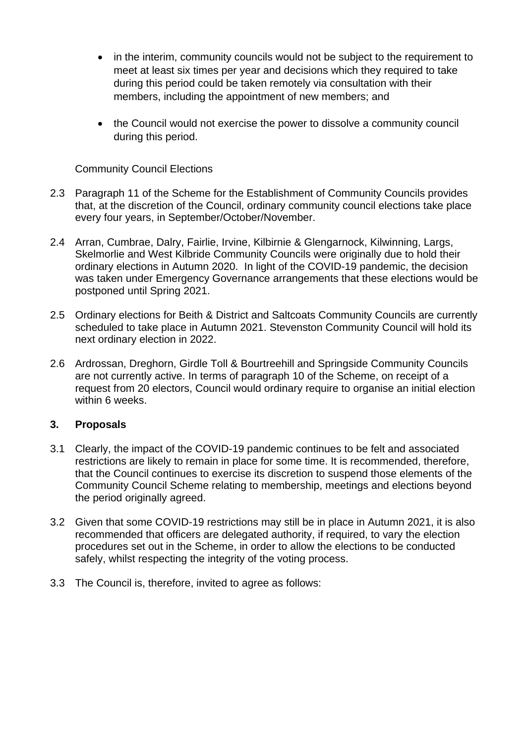- in the interim, community councils would not be subject to the requirement to meet at least six times per year and decisions which they required to take during this period could be taken remotely via consultation with their members, including the appointment of new members; and
- the Council would not exercise the power to dissolve a community council during this period.

## Community Council Elections

- 2.3 Paragraph 11 of the Scheme for the Establishment of Community Councils provides that, at the discretion of the Council, ordinary community council elections take place every four years, in September/October/November.
- 2.4 Arran, Cumbrae, Dalry, Fairlie, Irvine, Kilbirnie & Glengarnock, Kilwinning, Largs, Skelmorlie and West Kilbride Community Councils were originally due to hold their ordinary elections in Autumn 2020. In light of the COVID-19 pandemic, the decision was taken under Emergency Governance arrangements that these elections would be postponed until Spring 2021.
- 2.5 Ordinary elections for Beith & District and Saltcoats Community Councils are currently scheduled to take place in Autumn 2021. Stevenston Community Council will hold its next ordinary election in 2022.
- 2.6 Ardrossan, Dreghorn, Girdle Toll & Bourtreehill and Springside Community Councils are not currently active. In terms of paragraph 10 of the Scheme, on receipt of a request from 20 electors, Council would ordinary require to organise an initial election within 6 weeks.

# **3. Proposals**

- 3.1 Clearly, the impact of the COVID-19 pandemic continues to be felt and associated restrictions are likely to remain in place for some time. It is recommended, therefore, that the Council continues to exercise its discretion to suspend those elements of the Community Council Scheme relating to membership, meetings and elections beyond the period originally agreed.
- 3.2 Given that some COVID-19 restrictions may still be in place in Autumn 2021, it is also recommended that officers are delegated authority, if required, to vary the election procedures set out in the Scheme, in order to allow the elections to be conducted safely, whilst respecting the integrity of the voting process.
- 3.3 The Council is, therefore, invited to agree as follows: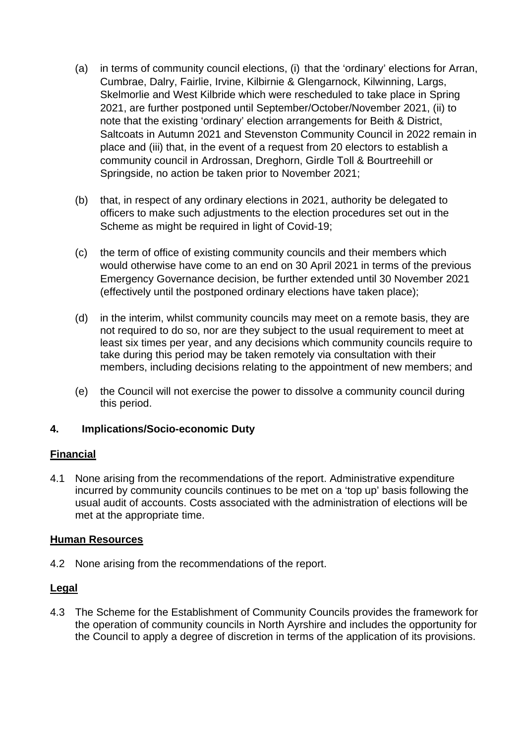- (a) in terms of community council elections, (i) that the 'ordinary' elections for Arran, Cumbrae, Dalry, Fairlie, Irvine, Kilbirnie & Glengarnock, Kilwinning, Largs, Skelmorlie and West Kilbride which were rescheduled to take place in Spring 2021, are further postponed until September/October/November 2021, (ii) to note that the existing 'ordinary' election arrangements for Beith & District, Saltcoats in Autumn 2021 and Stevenston Community Council in 2022 remain in place and (iii) that, in the event of a request from 20 electors to establish a community council in Ardrossan, Dreghorn, Girdle Toll & Bourtreehill or Springside, no action be taken prior to November 2021;
- (b) that, in respect of any ordinary elections in 2021, authority be delegated to officers to make such adjustments to the election procedures set out in the Scheme as might be required in light of Covid-19;
- (c) the term of office of existing community councils and their members which would otherwise have come to an end on 30 April 2021 in terms of the previous Emergency Governance decision, be further extended until 30 November 2021 (effectively until the postponed ordinary elections have taken place);
- (d) in the interim, whilst community councils may meet on a remote basis, they are not required to do so, nor are they subject to the usual requirement to meet at least six times per year, and any decisions which community councils require to take during this period may be taken remotely via consultation with their members, including decisions relating to the appointment of new members; and
- (e) the Council will not exercise the power to dissolve a community council during this period.

# **4. Implications/Socio-economic Duty**

# **Financial**

4.1 None arising from the recommendations of the report. Administrative expenditure incurred by community councils continues to be met on a 'top up' basis following the usual audit of accounts. Costs associated with the administration of elections will be met at the appropriate time.

#### **Human Resources**

4.2 None arising from the recommendations of the report.

# **Legal**

4.3 The Scheme for the Establishment of Community Councils provides the framework for the operation of community councils in North Ayrshire and includes the opportunity for the Council to apply a degree of discretion in terms of the application of its provisions.